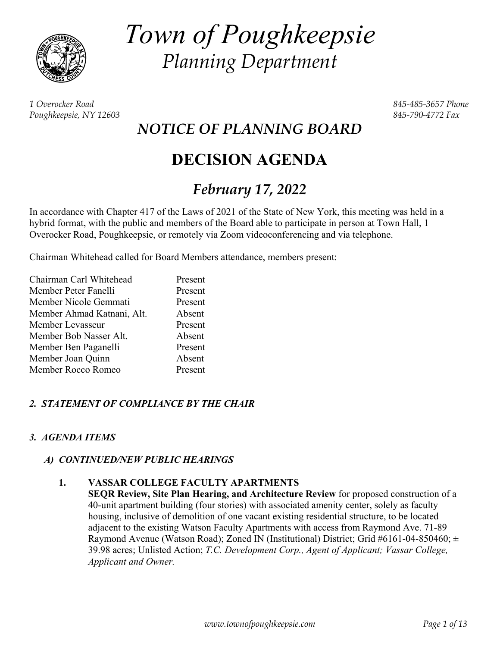

*Town of Poughkeepsie Planning Department* 

*1 Overocker Road 845-485-3657 Phone Poughkeepsie, NY 12603 845-790-4772 Fax* 

*NOTICE OF PLANNING BOARD* 

# **DECISION AGENDA**

# *February 17, 2022*

In accordance with Chapter 417 of the Laws of 2021 of the State of New York, this meeting was held in a hybrid format, with the public and members of the Board able to participate in person at Town Hall, 1 Overocker Road, Poughkeepsie, or remotely via Zoom videoconferencing and via telephone.

Chairman Whitehead called for Board Members attendance, members present:

| Chairman Carl Whitehead    | Present |
|----------------------------|---------|
| Member Peter Fanelli       | Present |
| Member Nicole Gemmati      | Present |
| Member Ahmad Katnani, Alt. | Absent  |
| Member Levasseur           | Present |
| Member Bob Nasser Alt.     | Absent  |
| Member Ben Paganelli       | Present |
| Member Joan Quinn          | Absent  |
| Member Rocco Romeo         | Present |

# *2. STATEMENT OF COMPLIANCE BY THE CHAIR*

# *3. AGENDA ITEMS*

# *A) CONTINUED/NEW PUBLIC HEARINGS*

# **1. VASSAR COLLEGE FACULTY APARTMENTS**

**SEQR Review, Site Plan Hearing, and Architecture Review** for proposed construction of a 40-unit apartment building (four stories) with associated amenity center, solely as faculty housing, inclusive of demolition of one vacant existing residential structure, to be located adjacent to the existing Watson Faculty Apartments with access from Raymond Ave. 71-89 Raymond Avenue (Watson Road); Zoned IN (Institutional) District; Grid #6161-04-850460;  $\pm$ 39.98 acres; Unlisted Action; *T.C. Development Corp., Agent of Applicant; Vassar College, Applicant and Owner.*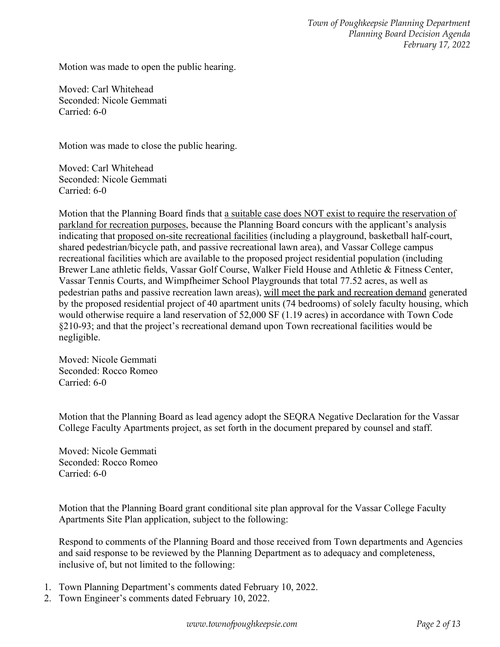*Town of Poughkeepsie Planning Department Planning Board Decision Agenda February 17, 2022* 

Motion was made to open the public hearing.

Moved: Carl Whitehead Seconded: Nicole Gemmati Carried: 6-0

Motion was made to close the public hearing.

Moved: Carl Whitehead Seconded: Nicole Gemmati Carried: 6-0

Motion that the Planning Board finds that a suitable case does NOT exist to require the reservation of parkland for recreation purposes, because the Planning Board concurs with the applicant's analysis indicating that proposed on-site recreational facilities (including a playground, basketball half-court, shared pedestrian/bicycle path, and passive recreational lawn area), and Vassar College campus recreational facilities which are available to the proposed project residential population (including Brewer Lane athletic fields, Vassar Golf Course, Walker Field House and Athletic & Fitness Center, Vassar Tennis Courts, and Wimpfheimer School Playgrounds that total 77.52 acres, as well as pedestrian paths and passive recreation lawn areas), will meet the park and recreation demand generated by the proposed residential project of 40 apartment units (74 bedrooms) of solely faculty housing, which would otherwise require a land reservation of 52,000 SF (1.19 acres) in accordance with Town Code §210-93; and that the project's recreational demand upon Town recreational facilities would be negligible.

Moved: Nicole Gemmati Seconded: Rocco Romeo Carried: 6-0

Motion that the Planning Board as lead agency adopt the SEQRA Negative Declaration for the Vassar College Faculty Apartments project, as set forth in the document prepared by counsel and staff.

Moved: Nicole Gemmati Seconded: Rocco Romeo Carried: 6-0

Motion that the Planning Board grant conditional site plan approval for the Vassar College Faculty Apartments Site Plan application, subject to the following:

Respond to comments of the Planning Board and those received from Town departments and Agencies and said response to be reviewed by the Planning Department as to adequacy and completeness, inclusive of, but not limited to the following:

- 1. Town Planning Department's comments dated February 10, 2022.
- 2. Town Engineer's comments dated February 10, 2022.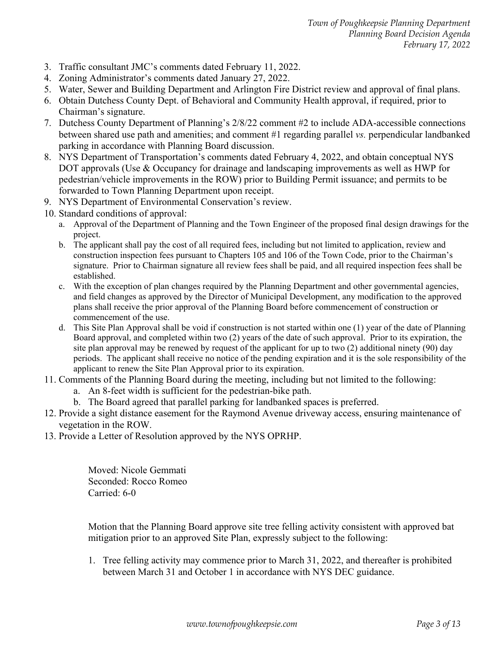*Town of Poughkeepsie Planning Department Planning Board Decision Agenda February 17, 2022* 

- 3. Traffic consultant JMC's comments dated February 11, 2022.
- 4. Zoning Administrator's comments dated January 27, 2022.
- 5. Water, Sewer and Building Department and Arlington Fire District review and approval of final plans.
- 6. Obtain Dutchess County Dept. of Behavioral and Community Health approval, if required, prior to Chairman's signature.
- 7. Dutchess County Department of Planning's 2/8/22 comment #2 to include ADA-accessible connections between shared use path and amenities; and comment #1 regarding parallel *vs.* perpendicular landbanked parking in accordance with Planning Board discussion.
- 8. NYS Department of Transportation's comments dated February 4, 2022, and obtain conceptual NYS DOT approvals (Use & Occupancy for drainage and landscaping improvements as well as HWP for pedestrian/vehicle improvements in the ROW) prior to Building Permit issuance; and permits to be forwarded to Town Planning Department upon receipt.
- 9. NYS Department of Environmental Conservation's review.
- 10. Standard conditions of approval:
	- a. Approval of the Department of Planning and the Town Engineer of the proposed final design drawings for the project.
	- b. The applicant shall pay the cost of all required fees, including but not limited to application, review and construction inspection fees pursuant to Chapters 105 and 106 of the Town Code, prior to the Chairman's signature. Prior to Chairman signature all review fees shall be paid, and all required inspection fees shall be established.
	- c. With the exception of plan changes required by the Planning Department and other governmental agencies, and field changes as approved by the Director of Municipal Development, any modification to the approved plans shall receive the prior approval of the Planning Board before commencement of construction or commencement of the use.
	- d. This Site Plan Approval shall be void if construction is not started within one (1) year of the date of Planning Board approval, and completed within two (2) years of the date of such approval. Prior to its expiration, the site plan approval may be renewed by request of the applicant for up to two (2) additional ninety (90) day periods. The applicant shall receive no notice of the pending expiration and it is the sole responsibility of the applicant to renew the Site Plan Approval prior to its expiration.
- 11. Comments of the Planning Board during the meeting, including but not limited to the following:
	- a. An 8-feet width is sufficient for the pedestrian-bike path.
	- b. The Board agreed that parallel parking for landbanked spaces is preferred.
- 12. Provide a sight distance easement for the Raymond Avenue driveway access, ensuring maintenance of vegetation in the ROW.
- 13. Provide a Letter of Resolution approved by the NYS OPRHP.

Moved: Nicole Gemmati Seconded: Rocco Romeo Carried: 6-0

Motion that the Planning Board approve site tree felling activity consistent with approved bat mitigation prior to an approved Site Plan, expressly subject to the following:

1. Tree felling activity may commence prior to March 31, 2022, and thereafter is prohibited between March 31 and October 1 in accordance with NYS DEC guidance.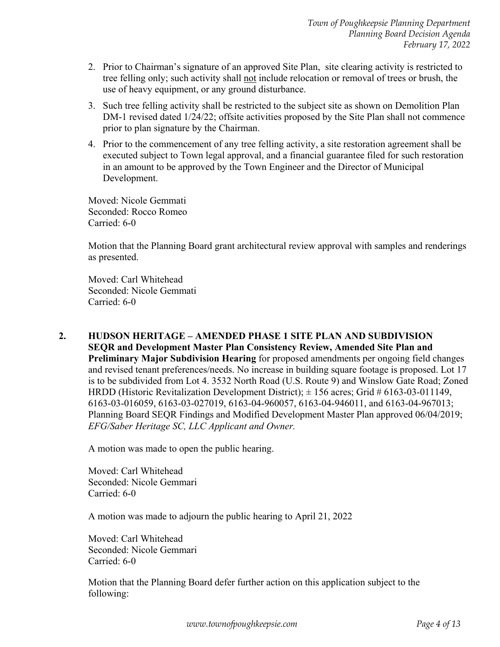- 2. Prior to Chairman's signature of an approved Site Plan, site clearing activity is restricted to tree felling only; such activity shall not include relocation or removal of trees or brush, the use of heavy equipment, or any ground disturbance.
- 3. Such tree felling activity shall be restricted to the subject site as shown on Demolition Plan DM-1 revised dated 1/24/22; offsite activities proposed by the Site Plan shall not commence prior to plan signature by the Chairman.
- 4. Prior to the commencement of any tree felling activity, a site restoration agreement shall be executed subject to Town legal approval, and a financial guarantee filed for such restoration in an amount to be approved by the Town Engineer and the Director of Municipal Development.

Moved: Nicole Gemmati Seconded: Rocco Romeo Carried: 6-0

Motion that the Planning Board grant architectural review approval with samples and renderings as presented.

Moved: Carl Whitehead Seconded: Nicole Gemmati Carried: 6-0

 **2. HUDSON HERITAGE – AMENDED PHASE 1 SITE PLAN AND SUBDIVISION SEQR and Development Master Plan Consistency Review, Amended Site Plan and Preliminary Major Subdivision Hearing** for proposed amendments per ongoing field changes and revised tenant preferences/needs. No increase in building square footage is proposed. Lot 17 is to be subdivided from Lot 4. 3532 North Road (U.S. Route 9) and Winslow Gate Road; Zoned HRDD (Historic Revitalization Development District);  $\pm$  156 acres; Grid # 6163-03-011149, 6163-03-016059, 6163-03-027019, 6163-04-960057, 6163-04-946011, and 6163-04-967013; Planning Board SEQR Findings and Modified Development Master Plan approved 06/04/2019; *EFG/Saber Heritage SC, LLC Applicant and Owner.* 

A motion was made to open the public hearing.

Moved: Carl Whitehead Seconded: Nicole Gemmari Carried: 6-0

A motion was made to adjourn the public hearing to April 21, 2022

Moved: Carl Whitehead Seconded: Nicole Gemmari Carried: 6-0

Motion that the Planning Board defer further action on this application subject to the following: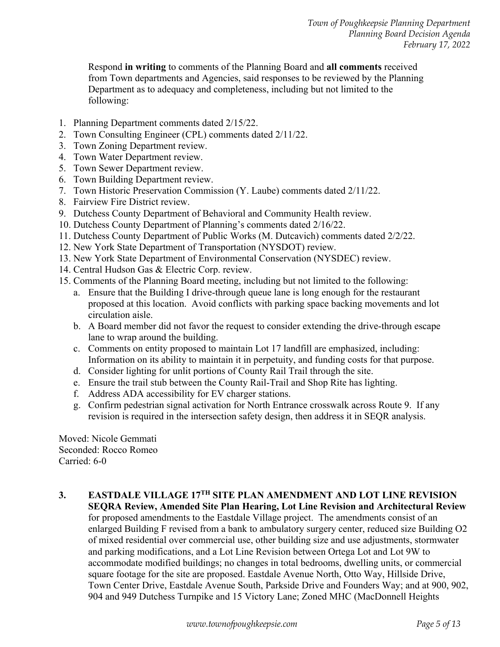Respond **in writing** to comments of the Planning Board and **all comments** received from Town departments and Agencies, said responses to be reviewed by the Planning Department as to adequacy and completeness, including but not limited to the following:

- 1. Planning Department comments dated 2/15/22.
- 2. Town Consulting Engineer (CPL) comments dated 2/11/22.
- 3. Town Zoning Department review.
- 4. Town Water Department review.
- 5. Town Sewer Department review.
- 6. Town Building Department review.
- 7. Town Historic Preservation Commission (Y. Laube) comments dated 2/11/22.
- 8. Fairview Fire District review.
- 9. Dutchess County Department of Behavioral and Community Health review.
- 10. Dutchess County Department of Planning's comments dated 2/16/22.
- 11. Dutchess County Department of Public Works (M. Dutcavich) comments dated 2/2/22.
- 12. New York State Department of Transportation (NYSDOT) review.
- 13. New York State Department of Environmental Conservation (NYSDEC) review.
- 14. Central Hudson Gas & Electric Corp. review.
- 15. Comments of the Planning Board meeting, including but not limited to the following:
	- a. Ensure that the Building I drive-through queue lane is long enough for the restaurant proposed at this location. Avoid conflicts with parking space backing movements and lot circulation aisle.
	- b. A Board member did not favor the request to consider extending the drive-through escape lane to wrap around the building.
	- c. Comments on entity proposed to maintain Lot 17 landfill are emphasized, including: Information on its ability to maintain it in perpetuity, and funding costs for that purpose.
	- d. Consider lighting for unlit portions of County Rail Trail through the site.
	- e. Ensure the trail stub between the County Rail-Trail and Shop Rite has lighting.
	- f. Address ADA accessibility for EV charger stations.
	- g. Confirm pedestrian signal activation for North Entrance crosswalk across Route 9. If any revision is required in the intersection safety design, then address it in SEQR analysis.

Moved: Nicole Gemmati Seconded: Rocco Romeo Carried: 6-0

 **3. EASTDALE VILLAGE 17TH SITE PLAN AMENDMENT AND LOT LINE REVISION SEQRA Review, Amended Site Plan Hearing, Lot Line Revision and Architectural Review**  for proposed amendments to the Eastdale Village project. The amendments consist of an enlarged Building F revised from a bank to ambulatory surgery center, reduced size Building O2 of mixed residential over commercial use, other building size and use adjustments, stormwater and parking modifications, and a Lot Line Revision between Ortega Lot and Lot 9W to accommodate modified buildings; no changes in total bedrooms, dwelling units, or commercial square footage for the site are proposed. Eastdale Avenue North, Otto Way, Hillside Drive, Town Center Drive, Eastdale Avenue South, Parkside Drive and Founders Way; and at 900, 902, 904 and 949 Dutchess Turnpike and 15 Victory Lane; Zoned MHC (MacDonnell Heights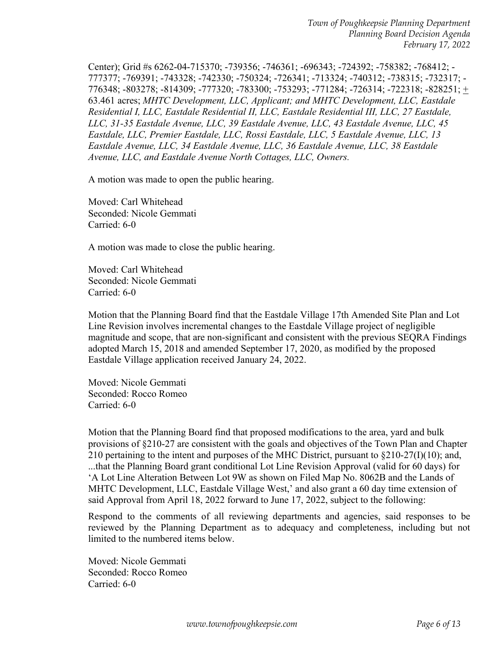Center); Grid #s 6262-04-715370; -739356; -746361; -696343; -724392; -758382; -768412; - 777377; -769391; -743328; -742330; -750324; -726341; -713324; -740312; -738315; -732317; - 776348; -803278; -814309; -777320; -783300; -753293; -771284; -726314; -722318; -828251; + 63.461 acres; *MHTC Development, LLC, Applicant; and MHTC Development, LLC, Eastdale Residential I, LLC, Eastdale Residential II, LLC, Eastdale Residential III, LLC, 27 Eastdale, LLC, 31-35 Eastdale Avenue, LLC, 39 Eastdale Avenue, LLC, 43 Eastdale Avenue, LLC, 45 Eastdale, LLC, Premier Eastdale, LLC, Rossi Eastdale, LLC, 5 Eastdale Avenue, LLC, 13 Eastdale Avenue, LLC, 34 Eastdale Avenue, LLC, 36 Eastdale Avenue, LLC, 38 Eastdale Avenue, LLC, and Eastdale Avenue North Cottages, LLC, Owners.* 

A motion was made to open the public hearing.

Moved: Carl Whitehead Seconded: Nicole Gemmati Carried: 6-0

A motion was made to close the public hearing.

Moved: Carl Whitehead Seconded: Nicole Gemmati Carried: 6-0

Motion that the Planning Board find that the Eastdale Village 17th Amended Site Plan and Lot Line Revision involves incremental changes to the Eastdale Village project of negligible magnitude and scope, that are non-significant and consistent with the previous SEQRA Findings adopted March 15, 2018 and amended September 17, 2020, as modified by the proposed Eastdale Village application received January 24, 2022.

Moved: Nicole Gemmati Seconded: Rocco Romeo Carried: 6-0

Motion that the Planning Board find that proposed modifications to the area, yard and bulk provisions of §210-27 are consistent with the goals and objectives of the Town Plan and Chapter 210 pertaining to the intent and purposes of the MHC District, pursuant to  $\S210-27(I)(10)$ ; and, ...that the Planning Board grant conditional Lot Line Revision Approval (valid for 60 days) for 'A Lot Line Alteration Between Lot 9W as shown on Filed Map No. 8062B and the Lands of MHTC Development, LLC, Eastdale Village West,' and also grant a 60 day time extension of said Approval from April 18, 2022 forward to June 17, 2022, subject to the following:

Respond to the comments of all reviewing departments and agencies, said responses to be reviewed by the Planning Department as to adequacy and completeness, including but not limited to the numbered items below.

Moved: Nicole Gemmati Seconded: Rocco Romeo Carried: 6-0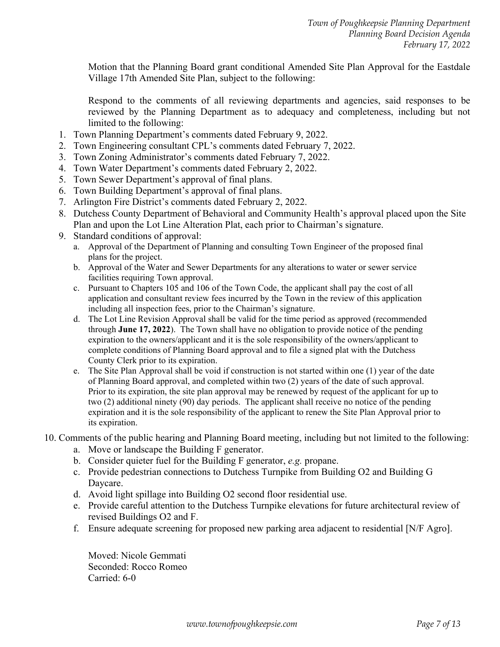Motion that the Planning Board grant conditional Amended Site Plan Approval for the Eastdale Village 17th Amended Site Plan, subject to the following:

Respond to the comments of all reviewing departments and agencies, said responses to be reviewed by the Planning Department as to adequacy and completeness, including but not limited to the following:

- 1. Town Planning Department's comments dated February 9, 2022.
- 2. Town Engineering consultant CPL's comments dated February 7, 2022.
- 3. Town Zoning Administrator's comments dated February 7, 2022.
- 4. Town Water Department's comments dated February 2, 2022.
- 5. Town Sewer Department's approval of final plans.
- 6. Town Building Department's approval of final plans.
- 7. Arlington Fire District's comments dated February 2, 2022.
- 8. Dutchess County Department of Behavioral and Community Health's approval placed upon the Site Plan and upon the Lot Line Alteration Plat, each prior to Chairman's signature.
- 9. Standard conditions of approval:
	- a. Approval of the Department of Planning and consulting Town Engineer of the proposed final plans for the project.
	- b. Approval of the Water and Sewer Departments for any alterations to water or sewer service facilities requiring Town approval.
	- c. Pursuant to Chapters 105 and 106 of the Town Code, the applicant shall pay the cost of all application and consultant review fees incurred by the Town in the review of this application including all inspection fees, prior to the Chairman's signature.
	- d. The Lot Line Revision Approval shall be valid for the time period as approved (recommended through **June 17, 2022**). The Town shall have no obligation to provide notice of the pending expiration to the owners/applicant and it is the sole responsibility of the owners/applicant to complete conditions of Planning Board approval and to file a signed plat with the Dutchess County Clerk prior to its expiration.
	- e. The Site Plan Approval shall be void if construction is not started within one (1) year of the date of Planning Board approval, and completed within two (2) years of the date of such approval. Prior to its expiration, the site plan approval may be renewed by request of the applicant for up to two (2) additional ninety (90) day periods. The applicant shall receive no notice of the pending expiration and it is the sole responsibility of the applicant to renew the Site Plan Approval prior to its expiration.
- 10. Comments of the public hearing and Planning Board meeting, including but not limited to the following:
	- a. Move or landscape the Building F generator.
	- b. Consider quieter fuel for the Building F generator, *e.g.* propane.
	- c. Provide pedestrian connections to Dutchess Turnpike from Building O2 and Building G Daycare.
	- d. Avoid light spillage into Building O2 second floor residential use.
	- e. Provide careful attention to the Dutchess Turnpike elevations for future architectural review of revised Buildings O2 and F.
	- f. Ensure adequate screening for proposed new parking area adjacent to residential [N/F Agro].

Moved: Nicole Gemmati Seconded: Rocco Romeo Carried: 6-0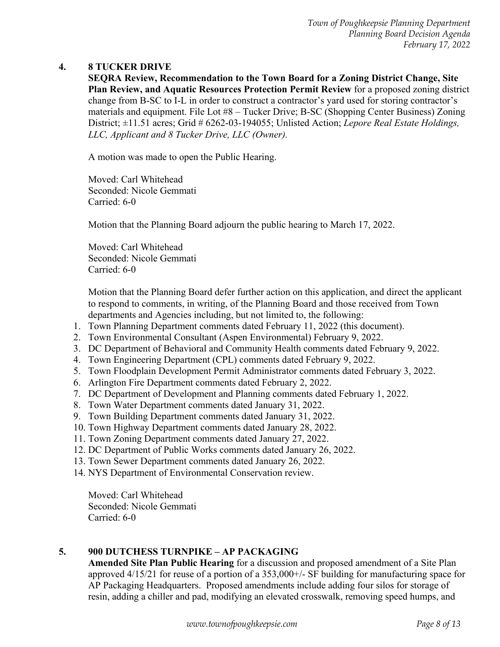#### **4. 8 TUCKER DRIVE**

**SEQRA Review, Recommendation to the Town Board for a Zoning District Change, Site Plan Review, and Aquatic Resources Protection Permit Review** for a proposed zoning district change from B-SC to I-L in order to construct a contractor's yard used for storing contractor's materials and equipment. File Lot #8 – Tucker Drive; B-SC (Shopping Center Business) Zoning District; ±11.51 acres; Grid # 6262-03-194055; Unlisted Action; *Lepore Real Estate Holdings, LLC, Applicant and 8 Tucker Drive, LLC (Owner).*

A motion was made to open the Public Hearing.

Moved: Carl Whitehead Seconded: Nicole Gemmati Carried: 6-0

Motion that the Planning Board adjourn the public hearing to March 17, 2022.

Moved: Carl Whitehead Seconded: Nicole Gemmati Carried: 6-0

Motion that the Planning Board defer further action on this application, and direct the applicant to respond to comments, in writing, of the Planning Board and those received from Town departments and Agencies including, but not limited to, the following:

- 1. Town Planning Department comments dated February 11, 2022 (this document).
- 2. Town Environmental Consultant (Aspen Environmental) February 9, 2022.
- 3. DC Department of Behavioral and Community Health comments dated February 9, 2022.
- 4. Town Engineering Department (CPL) comments dated February 9, 2022.
- 5. Town Floodplain Development Permit Administrator comments dated February 3, 2022.
- 6. Arlington Fire Department comments dated February 2, 2022.
- 7. DC Department of Development and Planning comments dated February 1, 2022.
- 8. Town Water Department comments dated January 31, 2022.
- 9. Town Building Department comments dated January 31, 2022.
- 10. Town Highway Department comments dated January 28, 2022.
- 11. Town Zoning Department comments dated January 27, 2022.
- 12. DC Department of Public Works comments dated January 26, 2022.
- 13. Town Sewer Department comments dated January 26, 2022.
- 14. NYS Department of Environmental Conservation review.

 Moved: Carl Whitehead Seconded: Nicole Gemmati Carried: 6-0

## **5. 900 DUTCHESS TURNPIKE – AP PACKAGING**

**Amended Site Plan Public Hearing** for a discussion and proposed amendment of a Site Plan approved 4/15/21 for reuse of a portion of a 353,000+/- SF building for manufacturing space for AP Packaging Headquarters. Proposed amendments include adding four silos for storage of resin, adding a chiller and pad, modifying an elevated crosswalk, removing speed humps, and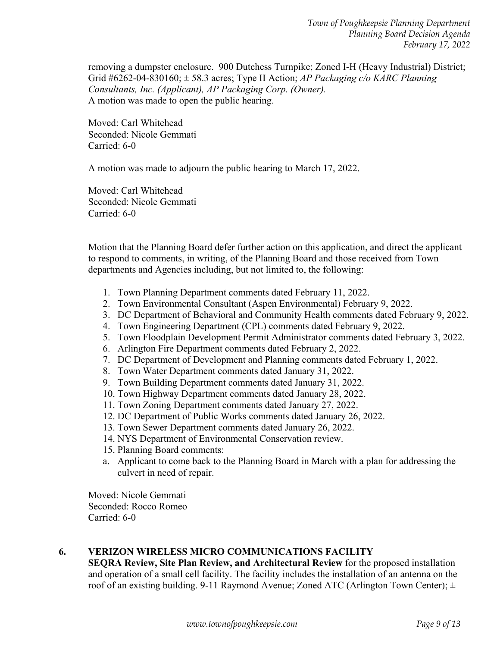removing a dumpster enclosure. 900 Dutchess Turnpike; Zoned I-H (Heavy Industrial) District; Grid #6262-04-830160; ± 58.3 acres; Type II Action; *AP Packaging c/o KARC Planning Consultants, Inc. (Applicant), AP Packaging Corp. (Owner).*  A motion was made to open the public hearing.

Moved: Carl Whitehead Seconded: Nicole Gemmati Carried: 6-0

A motion was made to adjourn the public hearing to March 17, 2022.

Moved: Carl Whitehead Seconded: Nicole Gemmati Carried: 6-0

Motion that the Planning Board defer further action on this application, and direct the applicant to respond to comments, in writing, of the Planning Board and those received from Town departments and Agencies including, but not limited to, the following:

- 1. Town Planning Department comments dated February 11, 2022.
- 2. Town Environmental Consultant (Aspen Environmental) February 9, 2022.
- 3. DC Department of Behavioral and Community Health comments dated February 9, 2022.
- 4. Town Engineering Department (CPL) comments dated February 9, 2022.
- 5. Town Floodplain Development Permit Administrator comments dated February 3, 2022.
- 6. Arlington Fire Department comments dated February 2, 2022.
- 7. DC Department of Development and Planning comments dated February 1, 2022.
- 8. Town Water Department comments dated January 31, 2022.
- 9. Town Building Department comments dated January 31, 2022.
- 10. Town Highway Department comments dated January 28, 2022.
- 11. Town Zoning Department comments dated January 27, 2022.
- 12. DC Department of Public Works comments dated January 26, 2022.
- 13. Town Sewer Department comments dated January 26, 2022.
- 14. NYS Department of Environmental Conservation review.
- 15. Planning Board comments:
- a. Applicant to come back to the Planning Board in March with a plan for addressing the culvert in need of repair.

Moved: Nicole Gemmati Seconded: Rocco Romeo Carried: 6-0

#### **6. VERIZON WIRELESS MICRO COMMUNICATIONS FACILITY**

**SEQRA Review, Site Plan Review, and Architectural Review** for the proposed installation and operation of a small cell facility. The facility includes the installation of an antenna on the roof of an existing building. 9-11 Raymond Avenue; Zoned ATC (Arlington Town Center);  $\pm$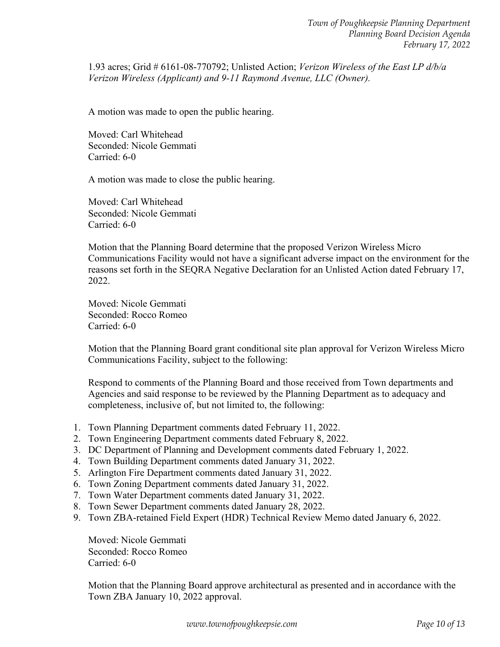1.93 acres; Grid # 6161-08-770792; Unlisted Action; *Verizon Wireless of the East LP d/b/a Verizon Wireless (Applicant) and 9-11 Raymond Avenue, LLC (Owner).* 

A motion was made to open the public hearing.

Moved: Carl Whitehead Seconded: Nicole Gemmati Carried: 6-0

A motion was made to close the public hearing.

Moved: Carl Whitehead Seconded: Nicole Gemmati Carried: 6-0

Motion that the Planning Board determine that the proposed Verizon Wireless Micro Communications Facility would not have a significant adverse impact on the environment for the reasons set forth in the SEQRA Negative Declaration for an Unlisted Action dated February 17, 2022.

Moved: Nicole Gemmati Seconded: Rocco Romeo Carried: 6-0

Motion that the Planning Board grant conditional site plan approval for Verizon Wireless Micro Communications Facility, subject to the following:

Respond to comments of the Planning Board and those received from Town departments and Agencies and said response to be reviewed by the Planning Department as to adequacy and completeness, inclusive of, but not limited to, the following:

- 1. Town Planning Department comments dated February 11, 2022.
- 2. Town Engineering Department comments dated February 8, 2022.
- 3. DC Department of Planning and Development comments dated February 1, 2022.
- 4. Town Building Department comments dated January 31, 2022.
- 5. Arlington Fire Department comments dated January 31, 2022.
- 6. Town Zoning Department comments dated January 31, 2022.
- 7. Town Water Department comments dated January 31, 2022.
- 8. Town Sewer Department comments dated January 28, 2022.
- 9. Town ZBA-retained Field Expert (HDR) Technical Review Memo dated January 6, 2022.

Moved: Nicole Gemmati Seconded: Rocco Romeo Carried: 6-0

Motion that the Planning Board approve architectural as presented and in accordance with the Town ZBA January 10, 2022 approval.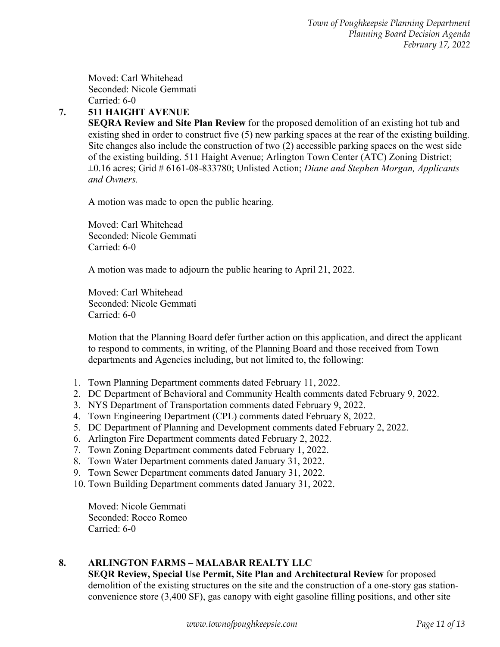Moved: Carl Whitehead Seconded: Nicole Gemmati Carried: 6-0

# **7. 511 HAIGHT AVENUE**

**SEQRA Review and Site Plan Review** for the proposed demolition of an existing hot tub and existing shed in order to construct five (5) new parking spaces at the rear of the existing building. Site changes also include the construction of two (2) accessible parking spaces on the west side of the existing building. 511 Haight Avenue; Arlington Town Center (ATC) Zoning District; ±0.16 acres; Grid # 6161-08-833780; Unlisted Action; *Diane and Stephen Morgan, Applicants and Owners.* 

A motion was made to open the public hearing.

Moved: Carl Whitehead Seconded: Nicole Gemmati Carried: 6-0

A motion was made to adjourn the public hearing to April 21, 2022.

Moved: Carl Whitehead Seconded: Nicole Gemmati Carried: 6-0

Motion that the Planning Board defer further action on this application, and direct the applicant to respond to comments, in writing, of the Planning Board and those received from Town departments and Agencies including, but not limited to, the following:

- 1. Town Planning Department comments dated February 11, 2022.
- 2. DC Department of Behavioral and Community Health comments dated February 9, 2022.
- 3. NYS Department of Transportation comments dated February 9, 2022.
- 4. Town Engineering Department (CPL) comments dated February 8, 2022.
- 5. DC Department of Planning and Development comments dated February 2, 2022.
- 6. Arlington Fire Department comments dated February 2, 2022.
- 7. Town Zoning Department comments dated February 1, 2022.
- 8. Town Water Department comments dated January 31, 2022.
- 9. Town Sewer Department comments dated January 31, 2022.
- 10. Town Building Department comments dated January 31, 2022.

Moved: Nicole Gemmati Seconded: Rocco Romeo Carried: 6-0

## **8. ARLINGTON FARMS – MALABAR REALTY LLC**

**SEQR Review, Special Use Permit, Site Plan and Architectural Review** for proposed demolition of the existing structures on the site and the construction of a one-story gas stationconvenience store (3,400 SF), gas canopy with eight gasoline filling positions, and other site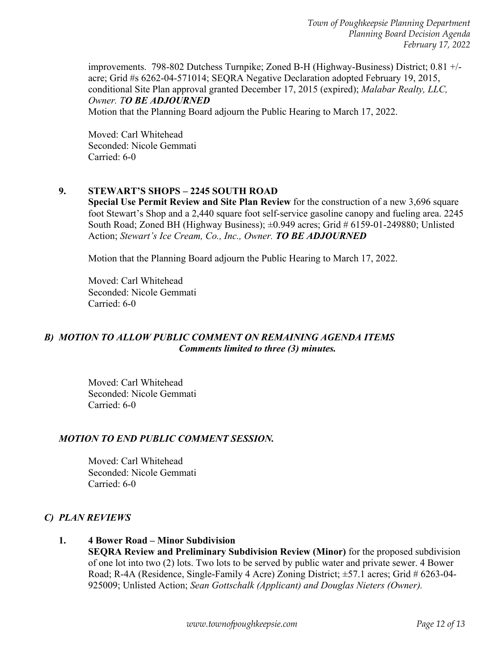*Town of Poughkeepsie Planning Department Planning Board Decision Agenda February 17, 2022* 

improvements. 798-802 Dutchess Turnpike; Zoned B-H (Highway-Business) District; 0.81 +/ acre; Grid #s 6262-04-571014; SEQRA Negative Declaration adopted February 19, 2015, conditional Site Plan approval granted December 17, 2015 (expired); *Malabar Realty, LLC, Owner. TO BE ADJOURNED*  Motion that the Planning Board adjourn the Public Hearing to March 17, 2022.

Moved: Carl Whitehead Seconded: Nicole Gemmati Carried: 6-0

#### **9. STEWART'S SHOPS – 2245 SOUTH ROAD**

**Special Use Permit Review and Site Plan Review** for the construction of a new 3,696 square foot Stewart's Shop and a 2,440 square foot self-service gasoline canopy and fueling area. 2245 South Road; Zoned BH (Highway Business); ±0.949 acres; Grid # 6159-01-249880; Unlisted Action; *Stewart's Ice Cream, Co., Inc., Owner. TO BE ADJOURNED* 

Motion that the Planning Board adjourn the Public Hearing to March 17, 2022.

Moved: Carl Whitehead Seconded: Nicole Gemmati Carried: 6-0

## *B) MOTION TO ALLOW PUBLIC COMMENT ON REMAINING AGENDA ITEMS Comments limited to three (3) minutes.*

Moved: Carl Whitehead Seconded: Nicole Gemmati Carried: 6-0

#### *MOTION TO END PUBLIC COMMENT SESSION.*

Moved: Carl Whitehead Seconded: Nicole Gemmati Carried: 6-0

#### *C) PLAN REVIEWS*

 **1. 4 Bower Road – Minor Subdivision SEQRA Review and Preliminary Subdivision Review (Minor)** for the proposed subdivision of one lot into two (2) lots. Two lots to be served by public water and private sewer. 4 Bower Road; R-4A (Residence, Single-Family 4 Acre) Zoning District; ±57.1 acres; Grid # 6263-04- 925009; Unlisted Action; *Sean Gottschalk (Applicant) and Douglas Nieters (Owner).*